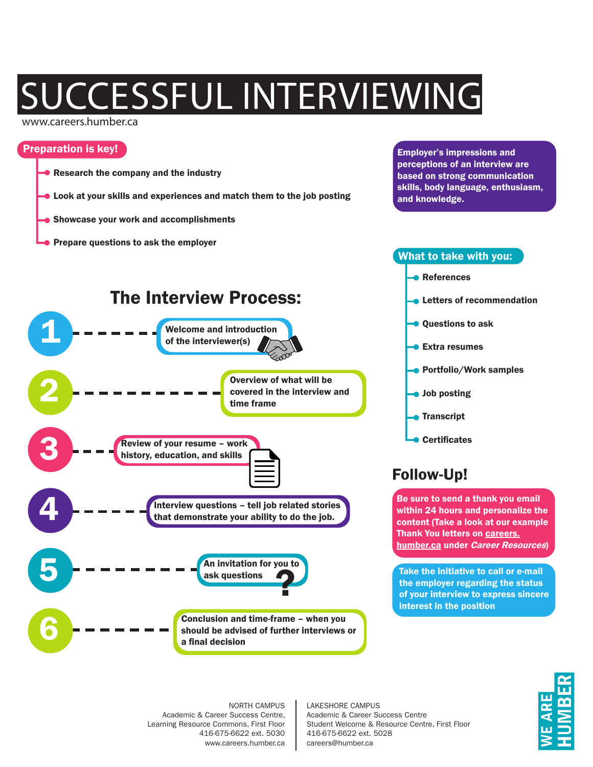# **JCCESSFUL INTERVIEWING**

#### www.careers.humber.ca

### Preparation is key!

- Research the company and the industry
- **Look at your skills and experiences and match them to the job posting**
- **Showcase your work and accomplishments**
- Prepare questions to ask the employer

Employer's impressions and perceptions of an interview are based on strong communication skills, body language, enthusiasm, and knowledge.

What to take with you:

## Interview questions – tell job related stories that demonstrate your ability to do the job. Welcome and introduction of the interviewer(s) An invitation for you to ask questions Review of your resume – work history, education, and skills 1 5 3 4 The Interview Process: Overview of what will be covered in the interview and time frame Conclusion and time-frame – when you should be advised of further interviews or a final decision 2 6 ?

References **Letters of recommendation Questions to ask** Extra resumes **Portfolio/Work samples Job posting Transcript** Certificates Follow-Up!

Be sure to send a thank you email within 24 hours and personalize the content (Take a look at our example Thank You letters on careers. humber.ca under Career Resources)

Take the initiative to call or e-mail the employer regarding the status of your interview to express sincere interest in the position

NORTH CAMPUS Academic & Career Success Centre, Learning Resource Commons, First Floor 416-675-6622 ext. 5030 www.careers.humber.ca LAKESHORE CAMPUS Academic & Career Success Centre Student Welcome & Resource Centre, First Floor 416-675-6622 ext. 5028 careers@humber.ca